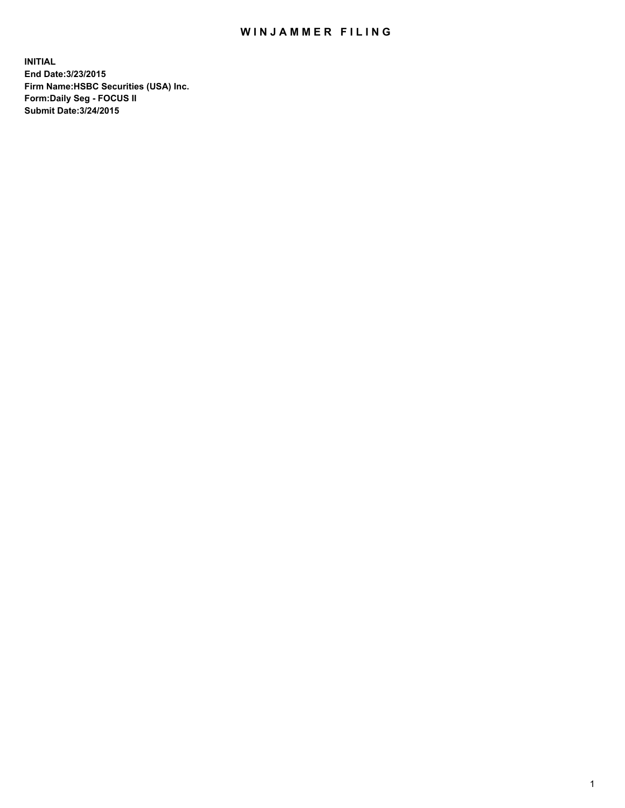## WIN JAMMER FILING

**INITIAL End Date:3/23/2015 Firm Name:HSBC Securities (USA) Inc. Form:Daily Seg - FOCUS II Submit Date:3/24/2015**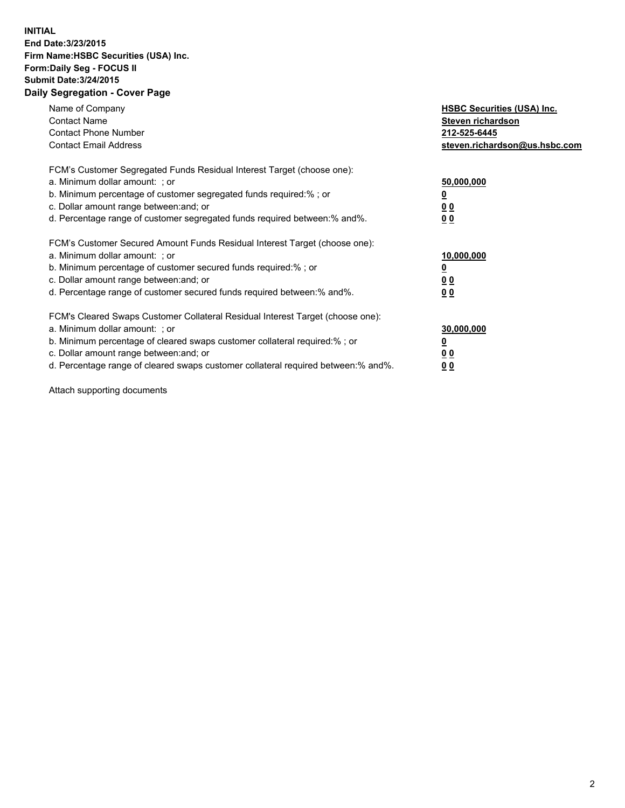## **INITIAL End Date:3/23/2015 Firm Name:HSBC Securities (USA) Inc. Form:Daily Seg - FOCUS II Submit Date:3/24/2015 Daily Segregation - Cover Page**

| Name of Company<br><b>Contact Name</b><br><b>Contact Phone Number</b><br><b>Contact Email Address</b>                                                                                                                                                                                                                          | <b>HSBC Securities (USA) Inc.</b><br>Steven richardson<br>212-525-6445<br>steven.richardson@us.hsbc.com |
|--------------------------------------------------------------------------------------------------------------------------------------------------------------------------------------------------------------------------------------------------------------------------------------------------------------------------------|---------------------------------------------------------------------------------------------------------|
| FCM's Customer Segregated Funds Residual Interest Target (choose one):<br>a. Minimum dollar amount: ; or<br>b. Minimum percentage of customer segregated funds required:%; or<br>c. Dollar amount range between: and; or<br>d. Percentage range of customer segregated funds required between: % and %.                        | 50,000,000<br>0 <sub>0</sub><br>0 <sub>0</sub>                                                          |
| FCM's Customer Secured Amount Funds Residual Interest Target (choose one):<br>a. Minimum dollar amount: ; or<br>b. Minimum percentage of customer secured funds required:%; or<br>c. Dollar amount range between: and; or<br>d. Percentage range of customer secured funds required between:% and%.                            | 10,000,000<br><u>0</u><br>0 <sub>0</sub><br>0 <sub>0</sub>                                              |
| FCM's Cleared Swaps Customer Collateral Residual Interest Target (choose one):<br>a. Minimum dollar amount: ; or<br>b. Minimum percentage of cleared swaps customer collateral required:% ; or<br>c. Dollar amount range between: and; or<br>d. Percentage range of cleared swaps customer collateral required between:% and%. | 30,000,000<br>00<br><u>00</u>                                                                           |

Attach supporting documents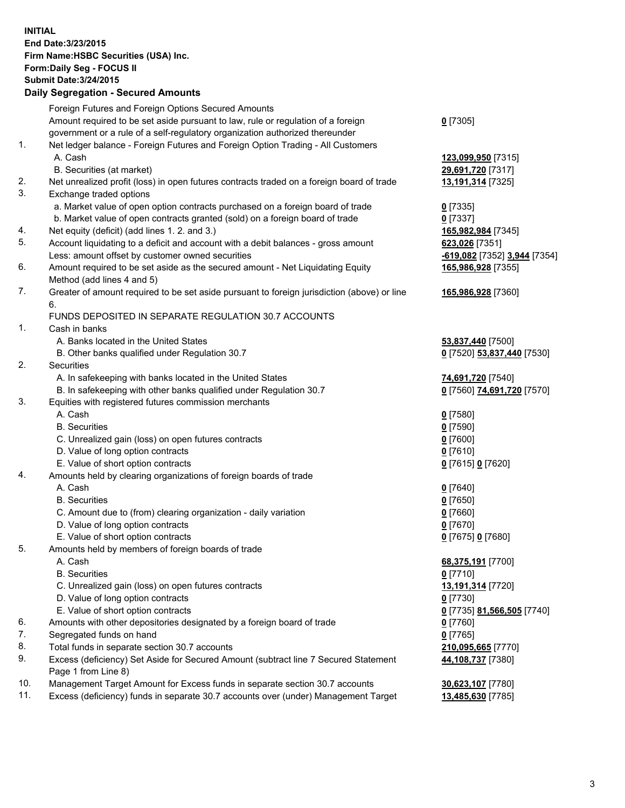**INITIAL End Date:3/23/2015 Firm Name:HSBC Securities (USA) Inc. Form:Daily Seg - FOCUS II Submit Date:3/24/2015 Daily Segregation - Secured Amounts**

Foreign Futures and Foreign Options Secured Amounts Amount required to be set aside pursuant to law, rule or regulation of a foreign government or a rule of a self-regulatory organization authorized thereunder **0** [7305] 1. Net ledger balance - Foreign Futures and Foreign Option Trading - All Customers A. Cash **123,099,950** [7315] B. Securities (at market) **29,691,720** [7317] 2. Net unrealized profit (loss) in open futures contracts traded on a foreign board of trade **13,191,314** [7325] 3. Exchange traded options a. Market value of open option contracts purchased on a foreign board of trade **0** [7335] b. Market value of open contracts granted (sold) on a foreign board of trade **0** [7337] 4. Net equity (deficit) (add lines 1. 2. and 3.) **165,982,984** [7345] 5. Account liquidating to a deficit and account with a debit balances - gross amount **623,026** [7351] Less: amount offset by customer owned securities **-619,082** [7352] **3,944** [7354] 6. Amount required to be set aside as the secured amount - Net Liquidating Equity Method (add lines 4 and 5) **165,986,928** [7355] 7. Greater of amount required to be set aside pursuant to foreign jurisdiction (above) or line 6. **165,986,928** [7360] FUNDS DEPOSITED IN SEPARATE REGULATION 30.7 ACCOUNTS 1. Cash in banks A. Banks located in the United States **53,837,440** [7500] B. Other banks qualified under Regulation 30.7 **0** [7520] **53,837,440** [7530] 2. Securities A. In safekeeping with banks located in the United States **74,691,720** [7540] B. In safekeeping with other banks qualified under Regulation 30.7 **0** [7560] **74,691,720** [7570] 3. Equities with registered futures commission merchants A. Cash **0** [7580] B. Securities **0** [7590] C. Unrealized gain (loss) on open futures contracts **0** [7600] D. Value of long option contracts **0** [7610] E. Value of short option contracts **0** [7615] **0** [7620] 4. Amounts held by clearing organizations of foreign boards of trade A. Cash **0** [7640] B. Securities **0** [7650] C. Amount due to (from) clearing organization - daily variation **0** [7660] D. Value of long option contracts **0** [7670] E. Value of short option contracts **0** [7675] **0** [7680] 5. Amounts held by members of foreign boards of trade A. Cash **68,375,191** [7700] B. Securities **0** [7710] C. Unrealized gain (loss) on open futures contracts **13,191,314** [7720] D. Value of long option contracts **0** [7730] E. Value of short option contracts **0** [7735] **81,566,505** [7740] 6. Amounts with other depositories designated by a foreign board of trade **0** [7760] 7. Segregated funds on hand **0** [7765] 8. Total funds in separate section 30.7 accounts **210,095,665** [7770] 9. Excess (deficiency) Set Aside for Secured Amount (subtract line 7 Secured Statement Page 1 from Line 8) **44,108,737** [7380] 10. Management Target Amount for Excess funds in separate section 30.7 accounts **30,623,107** [7780] 11. Excess (deficiency) funds in separate 30.7 accounts over (under) Management Target **13,485,630** [7785]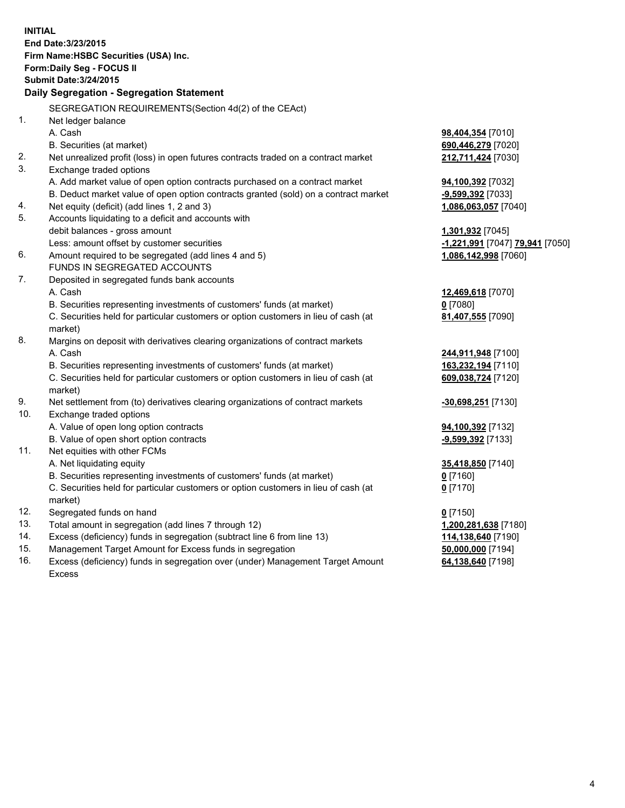| <b>INITIAL</b>                            |                                                                                                                                                               |                                 |  |  |  |  |
|-------------------------------------------|---------------------------------------------------------------------------------------------------------------------------------------------------------------|---------------------------------|--|--|--|--|
| End Date: 3/23/2015                       |                                                                                                                                                               |                                 |  |  |  |  |
| Firm Name: HSBC Securities (USA) Inc.     |                                                                                                                                                               |                                 |  |  |  |  |
|                                           | Form: Daily Seg - FOCUS II                                                                                                                                    |                                 |  |  |  |  |
| <b>Submit Date: 3/24/2015</b>             |                                                                                                                                                               |                                 |  |  |  |  |
| Daily Segregation - Segregation Statement |                                                                                                                                                               |                                 |  |  |  |  |
|                                           |                                                                                                                                                               |                                 |  |  |  |  |
|                                           | SEGREGATION REQUIREMENTS(Section 4d(2) of the CEAct)                                                                                                          |                                 |  |  |  |  |
| 1.                                        | Net ledger balance                                                                                                                                            |                                 |  |  |  |  |
|                                           | A. Cash                                                                                                                                                       | 98,404,354 [7010]               |  |  |  |  |
|                                           | B. Securities (at market)                                                                                                                                     | 690,446,279 [7020]              |  |  |  |  |
| 2.                                        | Net unrealized profit (loss) in open futures contracts traded on a contract market                                                                            | 212,711,424 [7030]              |  |  |  |  |
| 3.                                        | Exchange traded options                                                                                                                                       |                                 |  |  |  |  |
|                                           | A. Add market value of open option contracts purchased on a contract market                                                                                   | 94,100,392 [7032]               |  |  |  |  |
|                                           | B. Deduct market value of open option contracts granted (sold) on a contract market                                                                           | -9,599,392 [7033]               |  |  |  |  |
| 4.<br>5.                                  | Net equity (deficit) (add lines 1, 2 and 3)                                                                                                                   | 1,086,063,057 [7040]            |  |  |  |  |
|                                           | Accounts liquidating to a deficit and accounts with                                                                                                           |                                 |  |  |  |  |
|                                           | debit balances - gross amount                                                                                                                                 | 1,301,932 <sub>[7045]</sub>     |  |  |  |  |
| 6.                                        | Less: amount offset by customer securities                                                                                                                    | -1,221,991 [7047] 79,941 [7050] |  |  |  |  |
|                                           | Amount required to be segregated (add lines 4 and 5)<br>FUNDS IN SEGREGATED ACCOUNTS                                                                          | 1,086,142,998 [7060]            |  |  |  |  |
| 7.                                        |                                                                                                                                                               |                                 |  |  |  |  |
|                                           | Deposited in segregated funds bank accounts<br>A. Cash                                                                                                        |                                 |  |  |  |  |
|                                           |                                                                                                                                                               | 12,469,618 [7070]<br>$0$ [7080] |  |  |  |  |
|                                           | B. Securities representing investments of customers' funds (at market)<br>C. Securities held for particular customers or option customers in lieu of cash (at | 81,407,555 [7090]               |  |  |  |  |
|                                           | market)                                                                                                                                                       |                                 |  |  |  |  |
| 8.                                        | Margins on deposit with derivatives clearing organizations of contract markets                                                                                |                                 |  |  |  |  |
|                                           | A. Cash                                                                                                                                                       | 244,911,948 [7100]              |  |  |  |  |
|                                           | B. Securities representing investments of customers' funds (at market)                                                                                        | 163,232,194 [7110]              |  |  |  |  |
|                                           | C. Securities held for particular customers or option customers in lieu of cash (at                                                                           | 609,038,724 [7120]              |  |  |  |  |
|                                           | market)                                                                                                                                                       |                                 |  |  |  |  |
| 9.                                        | Net settlement from (to) derivatives clearing organizations of contract markets                                                                               | <u>-30,698,251</u> [7130]       |  |  |  |  |
| 10.                                       | Exchange traded options                                                                                                                                       |                                 |  |  |  |  |
|                                           | A. Value of open long option contracts                                                                                                                        | 94,100,392 [7132]               |  |  |  |  |
|                                           | B. Value of open short option contracts                                                                                                                       | -9,599,392 [7133]               |  |  |  |  |
| 11.                                       | Net equities with other FCMs                                                                                                                                  |                                 |  |  |  |  |
|                                           | A. Net liquidating equity                                                                                                                                     | 35,418,850 [7140]               |  |  |  |  |
|                                           | B. Securities representing investments of customers' funds (at market)                                                                                        | $0$ [7160]                      |  |  |  |  |
|                                           | C. Securities held for particular customers or option customers in lieu of cash (at                                                                           | $0$ [7170]                      |  |  |  |  |
|                                           | market)                                                                                                                                                       |                                 |  |  |  |  |
| 12.                                       | Segregated funds on hand                                                                                                                                      | $0$ [7150]                      |  |  |  |  |
| 13.                                       | Total amount in segregation (add lines 7 through 12)                                                                                                          | 1,200,281,638 [7180]            |  |  |  |  |
| 14.                                       | Excess (deficiency) funds in segregation (subtract line 6 from line 13)                                                                                       | 114,138,640 [7190]              |  |  |  |  |
| 15.                                       | Management Target Amount for Excess funds in segregation                                                                                                      | 50,000,000 [7194]               |  |  |  |  |
| 16.                                       | Excess (deficiency) funds in segregation over (under) Management Target Amount                                                                                | 64,138,640 [7198]               |  |  |  |  |
|                                           | Excess                                                                                                                                                        |                                 |  |  |  |  |